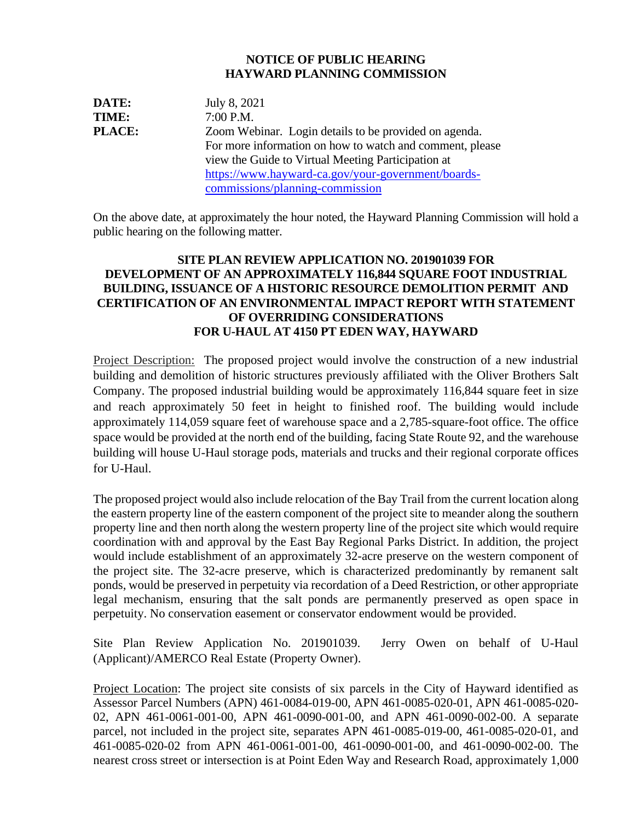## **NOTICE OF PUBLIC HEARING HAYWARD PLANNING COMMISSION**

**DATE:** July 8, 2021 **TIME:** 7:00 P.M. **PLACE:** Zoom Webinar. Login details to be provided on agenda. For more information on how to watch and comment, please view the Guide to Virtual Meeting Participation at [https://www.hayward-ca.gov/your-government/boards](https://www.hayward-ca.gov/your-government/boards-commissions/planning-commission)[commissions/planning-commission](https://www.hayward-ca.gov/your-government/boards-commissions/planning-commission)

On the above date, at approximately the hour noted, the Hayward Planning Commission will hold a public hearing on the following matter.

## **SITE PLAN REVIEW APPLICATION NO. 201901039 FOR DEVELOPMENT OF AN APPROXIMATELY 116,844 SQUARE FOOT INDUSTRIAL BUILDING, ISSUANCE OF A HISTORIC RESOURCE DEMOLITION PERMIT AND CERTIFICATION OF AN ENVIRONMENTAL IMPACT REPORT WITH STATEMENT OF OVERRIDING CONSIDERATIONS FOR U-HAUL AT 4150 PT EDEN WAY, HAYWARD**

Project Description: The proposed project would involve the construction of a new industrial building and demolition of historic structures previously affiliated with the Oliver Brothers Salt Company. The proposed industrial building would be approximately 116,844 square feet in size and reach approximately 50 feet in height to finished roof. The building would include approximately 114,059 square feet of warehouse space and a 2,785-square-foot office. The office space would be provided at the north end of the building, facing State Route 92, and the warehouse building will house U-Haul storage pods, materials and trucks and their regional corporate offices for U-Haul.

The proposed project would also include relocation of the Bay Trail from the current location along the eastern property line of the eastern component of the project site to meander along the southern property line and then north along the western property line of the project site which would require coordination with and approval by the East Bay Regional Parks District. In addition, the project would include establishment of an approximately 32-acre preserve on the western component of the project site. The 32-acre preserve, which is characterized predominantly by remanent salt ponds, would be preserved in perpetuity via recordation of a Deed Restriction, or other appropriate legal mechanism, ensuring that the salt ponds are permanently preserved as open space in perpetuity. No conservation easement or conservator endowment would be provided.

Site Plan Review Application No. 201901039. Jerry Owen on behalf of U-Haul (Applicant)/AMERCO Real Estate (Property Owner).

Project Location: The project site consists of six parcels in the City of Hayward identified as Assessor Parcel Numbers (APN) 461-0084-019-00, APN 461-0085-020-01, APN 461-0085-020- 02, APN 461-0061-001-00, APN 461-0090-001-00, and APN 461-0090-002-00. A separate parcel, not included in the project site, separates APN 461-0085-019-00, 461-0085-020-01, and 461-0085-020-02 from APN 461-0061-001-00, 461-0090-001-00, and 461-0090-002-00. The nearest cross street or intersection is at Point Eden Way and Research Road, approximately 1,000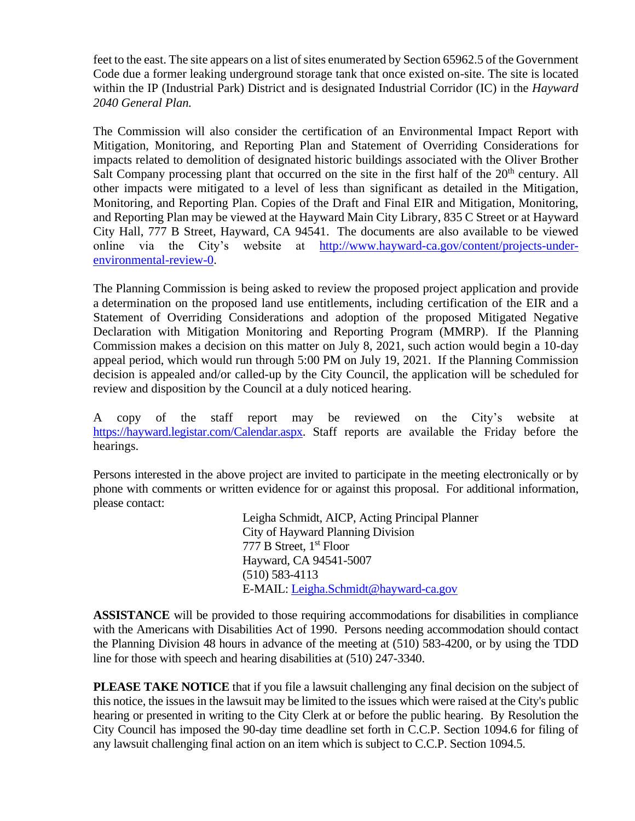feet to the east. The site appears on a list of sites enumerated by Section 65962.5 of the Government Code due a former leaking underground storage tank that once existed on-site. The site is located within the IP (Industrial Park) District and is designated Industrial Corridor (IC) in the *Hayward 2040 General Plan.*

The Commission will also consider the certification of an Environmental Impact Report with Mitigation, Monitoring, and Reporting Plan and Statement of Overriding Considerations for impacts related to demolition of designated historic buildings associated with the Oliver Brother Salt Company processing plant that occurred on the site in the first half of the  $20<sup>th</sup>$  century. All other impacts were mitigated to a level of less than significant as detailed in the Mitigation, Monitoring, and Reporting Plan. Copies of the Draft and Final EIR and Mitigation, Monitoring, and Reporting Plan may be viewed at the Hayward Main City Library, 835 C Street or at Hayward City Hall, 777 B Street, Hayward, CA 94541. The documents are also available to be viewed online via the City's website at [http://www.hayward-ca.gov/content/projects-under](http://www.hayward-ca.gov/content/projects-under-environmental-review-0)[environmental-review-0.](http://www.hayward-ca.gov/content/projects-under-environmental-review-0)

The Planning Commission is being asked to review the proposed project application and provide a determination on the proposed land use entitlements, including certification of the EIR and a Statement of Overriding Considerations and adoption of the proposed Mitigated Negative Declaration with Mitigation Monitoring and Reporting Program (MMRP).  If the Planning Commission makes a decision on this matter on July 8, 2021, such action would begin a 10-day appeal period, which would run through 5:00 PM on July 19, 2021. If the Planning Commission decision is appealed and/or called-up by the City Council, the application will be scheduled for review and disposition by the Council at a duly noticed hearing.

A copy of the staff report may be reviewed on the City's website at [https://hayward.legistar.com/Calendar.aspx.](https://hayward.legistar.com/Calendar.aspx) Staff reports are available the Friday before the hearings.

Persons interested in the above project are invited to participate in the meeting electronically or by phone with comments or written evidence for or against this proposal. For additional information, please contact:

> Leigha Schmidt, AICP, Acting Principal Planner City of Hayward Planning Division 777 B Street, 1<sup>st</sup> Floor Hayward, CA 94541-5007 (510) 583-4113 E-MAIL: [Leigha.Schmidt@hayward-ca.gov](mailto:Leigha.Schmidt@hayward-ca.gov)

**ASSISTANCE** will be provided to those requiring accommodations for disabilities in compliance with the Americans with Disabilities Act of 1990. Persons needing accommodation should contact the Planning Division 48 hours in advance of the meeting at (510) 583-4200, or by using the TDD line for those with speech and hearing disabilities at (510) 247-3340.

**PLEASE TAKE NOTICE** that if you file a lawsuit challenging any final decision on the subject of this notice, the issues in the lawsuit may be limited to the issues which were raised at the City's public hearing or presented in writing to the City Clerk at or before the public hearing. By Resolution the City Council has imposed the 90-day time deadline set forth in C.C.P. Section 1094.6 for filing of any lawsuit challenging final action on an item which is subject to C.C.P. Section 1094.5.